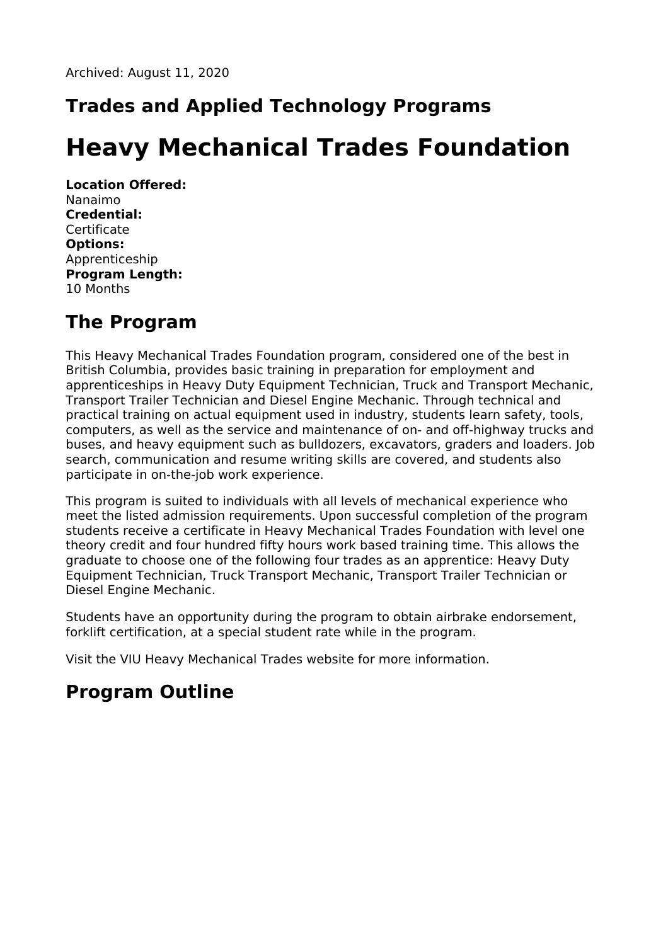# **Trades and Applied Technology Programs**

# **Heavy Mechanical Trades Foundation**

**Location Offered:** Nanaimo **Credential:** Certificate **Options:** Apprenticeship **Program Length:** 10 Months

# **The Program**

This Heavy Mechanical Trades Foundation program, considered one of the best in British Columbia, provides basic training in preparation for employment and apprenticeships in Heavy Duty Equipment Technician, Truck and Transport Mechanic, Transport Trailer Technician and Diesel Engine Mechanic. Through technical and practical training on actual equipment used in industry, students learn safety, tools, computers, as well as the service and maintenance of on- and off-highway trucks and buses, and heavy equipment such as bulldozers, excavators, graders and loaders. Job search, communication and resume writing skills are covered, and students also participate in on-the-job work experience.

This program is suited to individuals with all levels of mechanical experience who meet the listed admission requirements. Upon successful completion of the program students receive a certificate in Heavy Mechanical Trades Foundation with level one theory credit and four hundred fifty hours work based training time. This allows the graduate to choose one of the following four trades as an apprentice: Heavy Duty Equipment Technician, Truck Transport Mechanic, Transport Trailer Technician or Diesel Engine Mechanic.

Students have an opportunity during the program to obtain airbrake endorsement, forklift certification, at a special student rate while in the program.

Visit the VIU Heavy Mechanical Trades website for more information.

# **Program Outline**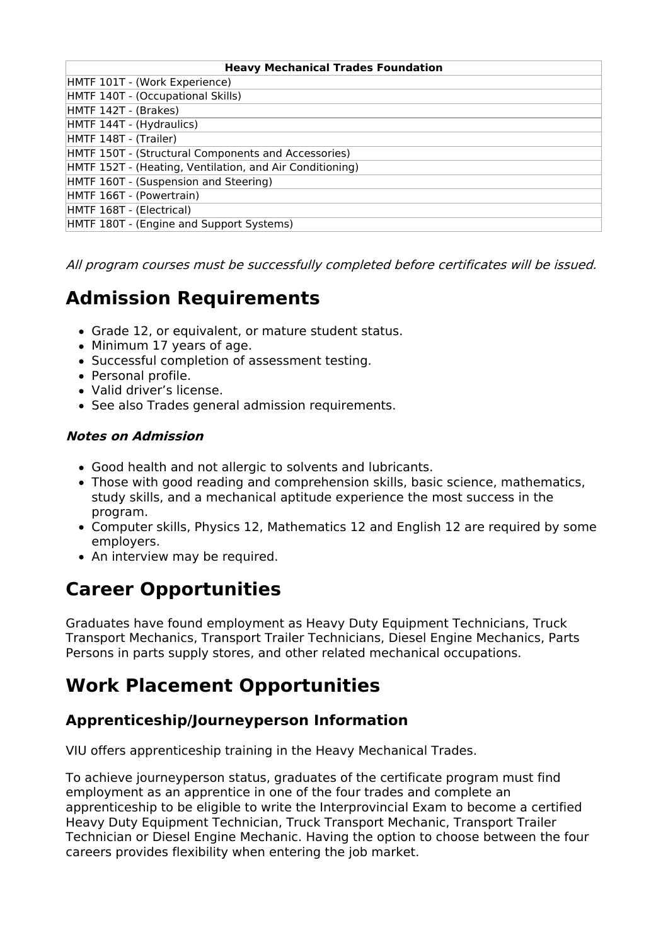| <b>Heavy Mechanical Trades Foundation</b>                |
|----------------------------------------------------------|
| HMTF 101T - (Work Experience)                            |
| HMTF 140T - (Occupational Skills)                        |
| HMTF 142T - (Brakes)                                     |
| HMTF 144T - (Hydraulics)                                 |
| HMTF 148T - (Trailer)                                    |
| HMTF 150T - (Structural Components and Accessories)      |
| HMTF 152T - (Heating, Ventilation, and Air Conditioning) |
| HMTF 160T - (Suspension and Steering)                    |
| HMTF 166T - (Powertrain)                                 |
| HMTF 168T - (Electrical)                                 |
| HMTF 180T - (Engine and Support Systems)                 |

All program courses must be successfully completed before certificates will be issued.

# **Admission Requirements**

- Grade 12, or equivalent, or mature student status.
- Minimum 17 years of age.
- Successful completion of assessment testing.
- Personal profile.
- Valid driver's license.
- See also Trades general admission requirements.

#### **Notes on Admission**

- Good health and not allergic to solvents and lubricants.
- Those with good reading and comprehension skills, basic science, mathematics, study skills, and a mechanical aptitude experience the most success in the program.
- Computer skills, Physics 12, Mathematics 12 and English 12 are required by some employers.
- An interview may be required.

# **Career Opportunities**

Graduates have found employment as Heavy Duty Equipment Technicians, Truck Transport Mechanics, Transport Trailer Technicians, Diesel Engine Mechanics, Parts Persons in parts supply stores, and other related mechanical occupations.

# **Work Placement Opportunities**

#### **Apprenticeship/Journeyperson Information**

VIU offers apprenticeship training in the Heavy Mechanical Trades.

To achieve journeyperson status, graduates of the certificate program must find employment as an apprentice in one of the four trades and complete an apprenticeship to be eligible to write the Interprovincial Exam to become a certified Heavy Duty Equipment Technician, Truck Transport Mechanic, Transport Trailer Technician or Diesel Engine Mechanic. Having the option to choose between the four careers provides flexibility when entering the job market.